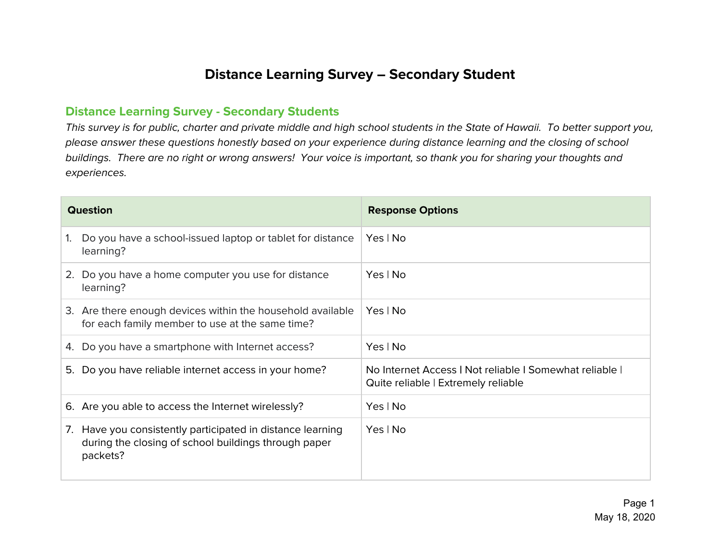## **Distance Learning Survey – Secondary Student**

## **Distance Learning Survey - Secondary Students**

This survey is for public, charter and private middle and high school students in the State of Hawaii. To better support you, please answer these questions honestly based on your experience during distance learning and the closing of school buildings. There are no right or wrong answers! Your voice is important, so thank you for sharing your thoughts and experiences.

| <b>Question</b> |                                                                                                                             | <b>Response Options</b>                                                                        |
|-----------------|-----------------------------------------------------------------------------------------------------------------------------|------------------------------------------------------------------------------------------------|
| 1.              | Do you have a school-issued laptop or tablet for distance<br>learning?                                                      | Yes   No                                                                                       |
| 2.              | Do you have a home computer you use for distance<br>learning?                                                               | Yes   No                                                                                       |
|                 | 3. Are there enough devices within the household available<br>for each family member to use at the same time?               | Yes   No                                                                                       |
|                 | 4. Do you have a smartphone with Internet access?                                                                           | Yes   No                                                                                       |
|                 | 5. Do you have reliable internet access in your home?                                                                       | No Internet Access   Not reliable   Somewhat reliable  <br>Quite reliable   Extremely reliable |
|                 | 6. Are you able to access the Internet wirelessly?                                                                          | Yes   No                                                                                       |
| $\mathcal{L}$ . | Have you consistently participated in distance learning<br>during the closing of school buildings through paper<br>packets? | Yes   No                                                                                       |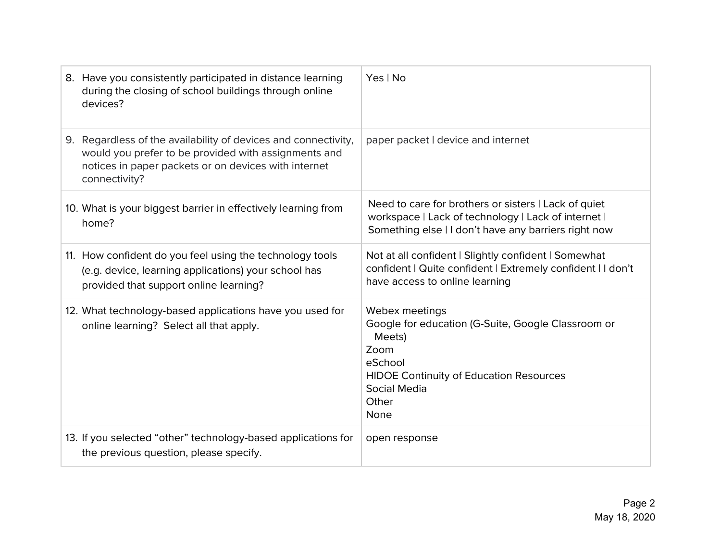| 8. Have you consistently participated in distance learning<br>during the closing of school buildings through online<br>devices?                                                                 | Yes   No                                                                                                                                                                             |
|-------------------------------------------------------------------------------------------------------------------------------------------------------------------------------------------------|--------------------------------------------------------------------------------------------------------------------------------------------------------------------------------------|
| 9. Regardless of the availability of devices and connectivity,<br>would you prefer to be provided with assignments and<br>notices in paper packets or on devices with internet<br>connectivity? | paper packet I device and internet                                                                                                                                                   |
| 10. What is your biggest barrier in effectively learning from<br>home?                                                                                                                          | Need to care for brothers or sisters I Lack of quiet<br>workspace   Lack of technology   Lack of internet  <br>Something else   I don't have any barriers right now                  |
| 11. How confident do you feel using the technology tools<br>(e.g. device, learning applications) your school has<br>provided that support online learning?                                      | Not at all confident   Slightly confident   Somewhat<br>confident   Quite confident   Extremely confident   I don't<br>have access to online learning                                |
| 12. What technology-based applications have you used for<br>online learning? Select all that apply.                                                                                             | Webex meetings<br>Google for education (G-Suite, Google Classroom or<br>Meets)<br>Zoom<br>eSchool<br><b>HIDOE Continuity of Education Resources</b><br>Social Media<br>Other<br>None |
| 13. If you selected "other" technology-based applications for<br>the previous question, please specify.                                                                                         | open response                                                                                                                                                                        |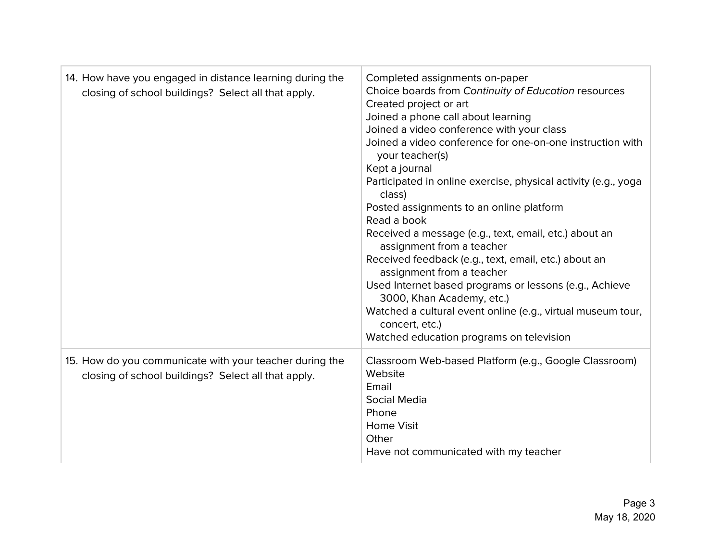| 14. How have you engaged in distance learning during the<br>closing of school buildings? Select all that apply. | Completed assignments on-paper<br>Choice boards from Continuity of Education resources<br>Created project or art<br>Joined a phone call about learning<br>Joined a video conference with your class<br>Joined a video conference for one-on-one instruction with<br>your teacher(s)<br>Kept a journal<br>Participated in online exercise, physical activity (e.g., yoga<br>class)<br>Posted assignments to an online platform<br>Read a book<br>Received a message (e.g., text, email, etc.) about an<br>assignment from a teacher<br>Received feedback (e.g., text, email, etc.) about an<br>assignment from a teacher<br>Used Internet based programs or lessons (e.g., Achieve<br>3000, Khan Academy, etc.)<br>Watched a cultural event online (e.g., virtual museum tour,<br>concert, etc.)<br>Watched education programs on television |
|-----------------------------------------------------------------------------------------------------------------|---------------------------------------------------------------------------------------------------------------------------------------------------------------------------------------------------------------------------------------------------------------------------------------------------------------------------------------------------------------------------------------------------------------------------------------------------------------------------------------------------------------------------------------------------------------------------------------------------------------------------------------------------------------------------------------------------------------------------------------------------------------------------------------------------------------------------------------------|
| 15. How do you communicate with your teacher during the<br>closing of school buildings? Select all that apply.  | Classroom Web-based Platform (e.g., Google Classroom)<br>Website<br>Email<br>Social Media<br>Phone<br><b>Home Visit</b><br>Other<br>Have not communicated with my teacher                                                                                                                                                                                                                                                                                                                                                                                                                                                                                                                                                                                                                                                                   |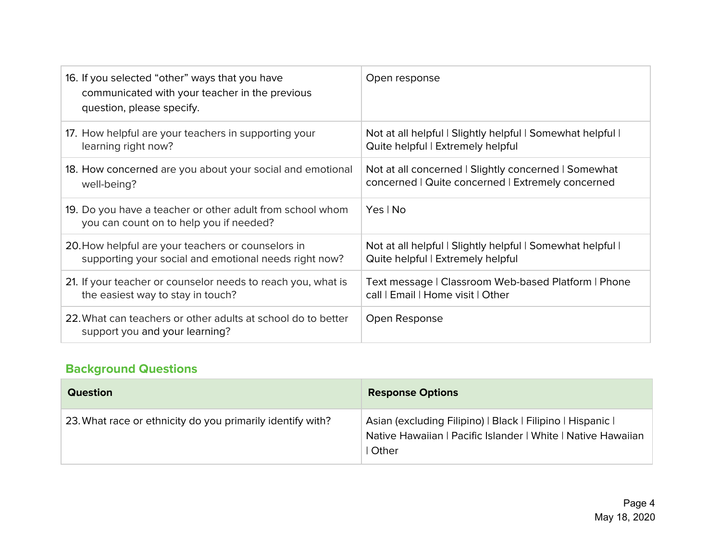| 16. If you selected "other" ways that you have<br>communicated with your teacher in the previous<br>question, please specify. | Open response                                            |
|-------------------------------------------------------------------------------------------------------------------------------|----------------------------------------------------------|
| 17. How helpful are your teachers in supporting your                                                                          | Not at all helpful   Slightly helpful   Somewhat helpful |
| learning right now?                                                                                                           | Quite helpful   Extremely helpful                        |
| 18. How concerned are you about your social and emotional                                                                     | Not at all concerned   Slightly concerned   Somewhat     |
| well-being?                                                                                                                   | concerned   Quite concerned   Extremely concerned        |
| 19. Do you have a teacher or other adult from school whom<br>you can count on to help you if needed?                          | Yes   No                                                 |
| 20. How helpful are your teachers or counselors in                                                                            | Not at all helpful   Slightly helpful   Somewhat helpful |
| supporting your social and emotional needs right now?                                                                         | Quite helpful   Extremely helpful                        |
| 21. If your teacher or counselor needs to reach you, what is                                                                  | Text message   Classroom Web-based Platform   Phone      |
| the easiest way to stay in touch?                                                                                             | call   Email   Home visit   Other                        |
| 22. What can teachers or other adults at school do to better<br>support you and your learning?                                | Open Response                                            |

## **Background Questions**

| <b>Question</b>                                            | <b>Response Options</b>                                                                                                             |
|------------------------------------------------------------|-------------------------------------------------------------------------------------------------------------------------------------|
| 23. What race or ethnicity do you primarily identify with? | Asian (excluding Filipino)   Black   Filipino   Hispanic  <br>Native Hawaiian   Pacific Islander   White   Native Hawaiian<br>Other |